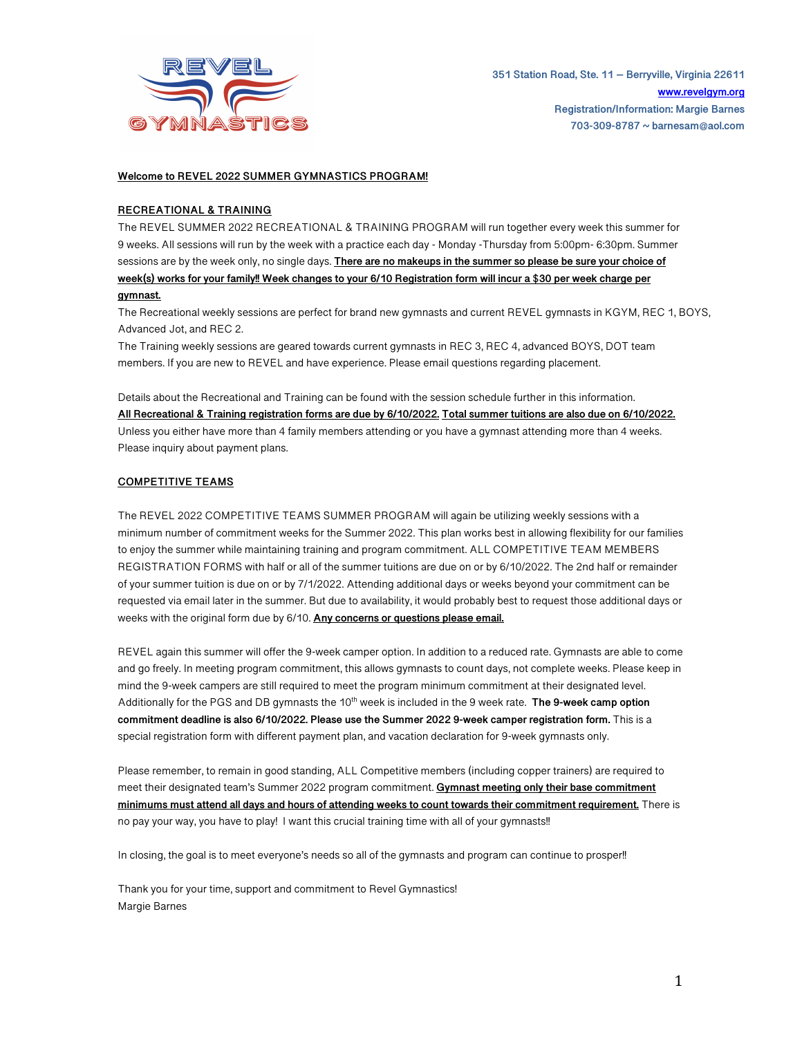

### **Welcome to REVEL 2022 SUMMER GYMNASTICS PROGRAM!**

# **RECREATIONAL & TRAINING**

The REVEL SUMMER 2022 RECREATIONAL & TRAINING PROGRAM will run together every week this summer for 9 weeks. All sessions will run by the week with a practice each day - Monday -Thursday from 5:00pm- 6:30pm. Summer sessions are by the week only, no single days. **There are no makeups in the summer so please be sure your choice of week(s) works for your family!! Week changes to your 6/10 Registration form will incur a \$30 per week charge per gymnast.**

The Recreational weekly sessions are perfect for brand new gymnasts and current REVEL gymnasts in KGYM, REC 1, BOYS, Advanced Jot, and REC 2.

The Training weekly sessions are geared towards current gymnasts in REC 3, REC 4, advanced BOYS, DOT team members. If you are new to REVEL and have experience. Please email questions regarding placement.

Details about the Recreational and Training can be found with the session schedule further in this information. **All Recreational & Training registration forms are due by 6/10/2022. Total summer tuitions are also due on 6/10/2022.** Unless you either have more than 4 family members attending or you have a gymnast attending more than 4 weeks. Please inquiry about payment plans.

### **COMPETITIVE TEAMS**

The REVEL 2022 COMPETITIVE TEAMS SUMMER PROGRAM will again be utilizing weekly sessions with a minimum number of commitment weeks for the Summer 2022. This plan works best in allowing flexibility for our families to enjoy the summer while maintaining training and program commitment. ALL COMPETITIVE TEAM MEMBERS REGISTRATION FORMS with half or all of the summer tuitions are due on or by 6/10/2022. The 2nd half or remainder of your summer tuition is due on or by 7/1/2022. Attending additional days or weeks beyond your commitment can be requested via email later in the summer. But due to availability, it would probably best to request those additional days or weeks with the original form due by 6/10. **Any concerns or questions please email.** 

REVEL again this summer will offer the 9-week camper option. In addition to a reduced rate. Gymnasts are able to come and go freely. In meeting program commitment, this allows gymnasts to count days, not complete weeks. Please keep in mind the 9-week campers are still required to meet the program minimum commitment at their designated level. Additionally for the PGS and DB gymnasts the 10<sup>th</sup> week is included in the 9 week rate. **The 9-week camp option commitment deadline is also 6/10/2022. Please use the Summer 2022 9-week camper registration form.** This is a special registration form with different payment plan, and vacation declaration for 9-week gymnasts only.

Please remember, to remain in good standing, ALL Competitive members (including copper trainers) are required to meet their designated team's Summer 2022 program commitment. **Gymnast meeting only their base commitment minimums must attend all days and hours of attending weeks to count towards their commitment requirement.** There is no pay your way, you have to play! I want this crucial training time with all of your gymnasts!!

In closing, the goal is to meet everyone's needs so all of the gymnasts and program can continue to prosper!!

Thank you for your time, support and commitment to Revel Gymnastics! Margie Barnes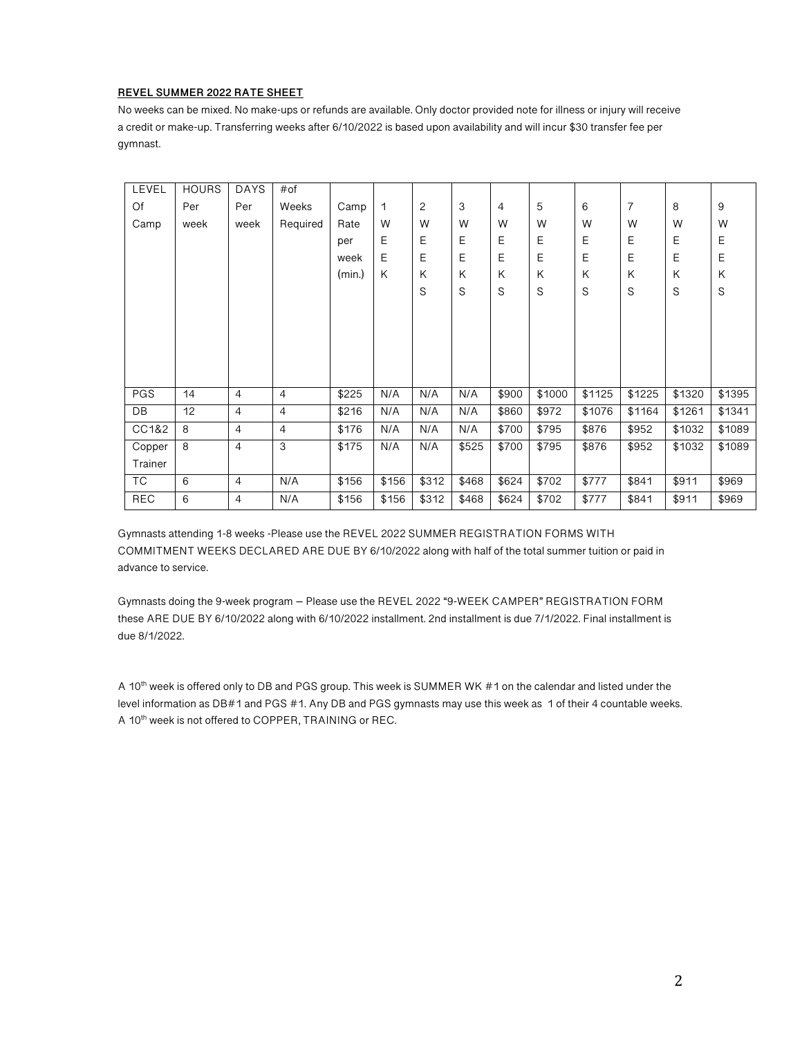#### **REVEL SUMMER 2022 RATE SHEET**

No weeks can be mixed. No make-ups or refunds are available. Only doctor provided note for illness or injury will receive a credit or make-up. Transferring weeks after 6/10/2022 is based upon availability and will incur \$30 transfer fee per gymnast.

| LEVEL      | <b>HOURS</b> | <b>DAYS</b>    | $#$ of         |        |       |             |       |       |        |        |                |             |        |
|------------|--------------|----------------|----------------|--------|-------|-------------|-------|-------|--------|--------|----------------|-------------|--------|
| Of         | Per          | Per            | Weeks          | Camp   | 1     | 2           | 3     | 4     | 5      | 6      | $\overline{7}$ | 8           | 9      |
| Camp       | week         | week           | Required       | Rate   | W     | W           | W     | W     | W      | W      | W              | W           | W      |
|            |              |                |                | per    | E     | E           | E     | E     | E      | E      | E              | E           | E      |
|            |              |                |                | week   | E     | E           | E     | E     | E      | E      | E              | E           | E      |
|            |              |                |                | (min.) | K     | Κ           | K     | K     | K      | K      | Κ              | Κ           | K      |
|            |              |                |                |        |       | $\mathbb S$ | S     | S     | S      | S      | S              | $\mathbb S$ | S      |
|            |              |                |                |        |       |             |       |       |        |        |                |             |        |
|            |              |                |                |        |       |             |       |       |        |        |                |             |        |
|            |              |                |                |        |       |             |       |       |        |        |                |             |        |
|            |              |                |                |        |       |             |       |       |        |        |                |             |        |
|            |              |                |                |        |       |             |       |       |        |        |                |             |        |
| PGS        | 14           | $\overline{4}$ | $\overline{4}$ | \$225  | N/A   | N/A         | N/A   | \$900 | \$1000 | \$1125 | \$1225         | \$1320      | \$1395 |
| DB         | 12           | $\overline{4}$ | $\overline{4}$ | \$216  | N/A   | N/A         | N/A   | \$860 | \$972  | \$1076 | \$1164         | \$1261      | \$1341 |
| CC1&2      | 8            | $\overline{4}$ | 4              | \$176  | N/A   | N/A         | N/A   | \$700 | \$795  | \$876  | \$952          | \$1032      | \$1089 |
| Copper     | 8            | $\overline{4}$ | 3              | \$175  | N/A   | N/A         | \$525 | \$700 | \$795  | \$876  | \$952          | \$1032      | \$1089 |
| Trainer    |              |                |                |        |       |             |       |       |        |        |                |             |        |
| ТC         | 6            | $\overline{4}$ | N/A            | \$156  | \$156 | \$312       | \$468 | \$624 | \$702  | \$777  | \$841          | \$911       | \$969  |
| <b>REC</b> | 6            | $\overline{4}$ | N/A            | \$156  | \$156 | \$312       | \$468 | \$624 | \$702  | \$777  | \$841          | \$911       | \$969  |

Gymnasts attending 1-8 weeks -Please use the REVEL 2022 SUMMER REGISTRATION FORMS WITH COMMITMENT WEEKS DECLARED ARE DUE BY 6/10/2022 along with half of the total summer tuition or paid in advance to service.

Gymnasts doing the 9-week program – Please use the REVEL 2022 "9-WEEK CAMPER" REGISTRATION FORM these ARE DUE BY 6/10/2022 along with 6/10/2022 installment. 2nd installment is due 7/1/2022. Final installment is due 8/1/2022.

A 10<sup>th</sup> week is offered only to DB and PGS group. This week is SUMMER WK #1 on the calendar and listed under the level information as DB#1 and PGS #1. Any DB and PGS gymnasts may use this week as 1 of their 4 countable weeks. A 10<sup>th</sup> week is not offered to COPPER, TRAINING or REC.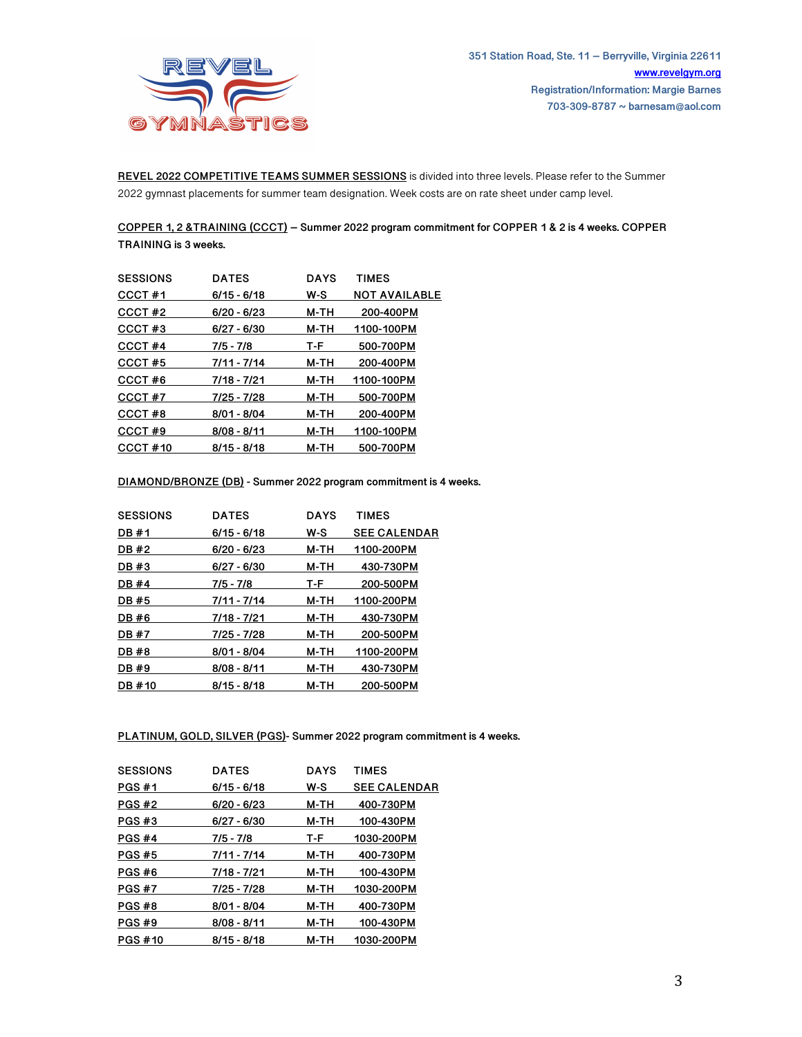

**REVEL 2022 COMPETITIVE TEAMS SUMMER SESSIONS** is divided into three levels. Please refer to the Summer 2022 gymnast placements for summer team designation. Week costs are on rate sheet under camp level.

# **COPPER 1, 2 &TRAINING (CCCT) – Summer 2022 program commitment for COPPER 1 & 2 is 4 weeks. COPPER TRAINING is 3 weeks.**

| <b>SESSIONS</b> | <b>DATES</b>  | <b>DAYS</b> | <b>TIMES</b>         |
|-----------------|---------------|-------------|----------------------|
| CCCT#1          | $6/15 - 6/18$ | w-s         | <b>NOT AVAILABLE</b> |
| CCCT#2          | $6/20 - 6/23$ | M-TH        | 200-400PM            |
| CCCT#3          | $6/27 - 6/30$ | M-TH        | 1100-100PM           |
| CCCT#4          | 7/5 - 7/8     | T-F         | 500-700PM            |
| CCCT#5          | $7/11 - 7/14$ | M-TH        | 200-400PM            |
| CCCT#6          | 7/18 - 7/21   | M-TH        | 1100-100PM           |
| CCCT#7          | 7/25 - 7/28   | M-TH        | 500-700PM            |
| CCCT#8          | $8/01 - 8/04$ | M-TH        | 200-400PM            |
| CCCT#9          | $8/08 - 8/11$ | M-TH        | 1100-100PM           |
| CCCT#10         | $8/15 - 8/18$ | M-TH        | 500-700PM            |

# **DIAMOND/BRONZE (DB) - Summer 2022 program commitment is 4 weeks.**

| <b>DATES</b>  | <b>DAYS</b> | <b>TIMES</b>        |
|---------------|-------------|---------------------|
| 6/15 - 6/18   | w-s         | <b>SEE CALENDAR</b> |
| 6/20 - 6/23   | M-TH        | 1100-200PM          |
| $6/27 - 6/30$ | M-TH        | 430-730PM           |
| $7/5 - 7/8$   | T-F         | 200-500PM           |
| 7/11 - 7/14   | M-TH        | 1100-200PM          |
| 7/18 - 7/21   | M-TH        | 430-730PM           |
| 7/25 - 7/28   | M-TH        | 200-500PM           |
| $8/01 - 8/04$ | M-TH        | 1100-200PM          |
| $8/08 - 8/11$ | M-TH        | 430-730PM           |
| $8/15 - 8/18$ | M-TH        | 200-500PM           |
|               |             |                     |

**PLATINUM, GOLD, SILVER (PGS)- Summer 2022 program commitment is 4 weeks.** 

| <b>DATES</b>  | <b>DAYS</b> | <b>TIMES</b>        |
|---------------|-------------|---------------------|
| $6/15 - 6/18$ | w-s         | <b>SEE CALENDAR</b> |
| $6/20 - 6/23$ | M-TH        | 400-730PM           |
| $6/27 - 6/30$ | M-TH        | 100-430PM           |
| 7/5 - 7/8     | T-F         | 1030-200PM          |
| 7/11 - 7/14   | M-TH        | 400-730PM           |
| 7/18 - 7/21   | M-TH        | 100-430PM           |
| 7/25 - 7/28   | M-TH        | 1030-200PM          |
| $8/01 - 8/04$ | M-TH        | 400-730PM           |
| $8/08 - 8/11$ | M-TH        | 100-430PM           |
| $8/15 - 8/18$ | M-TH        | 1030-200PM          |
|               |             |                     |